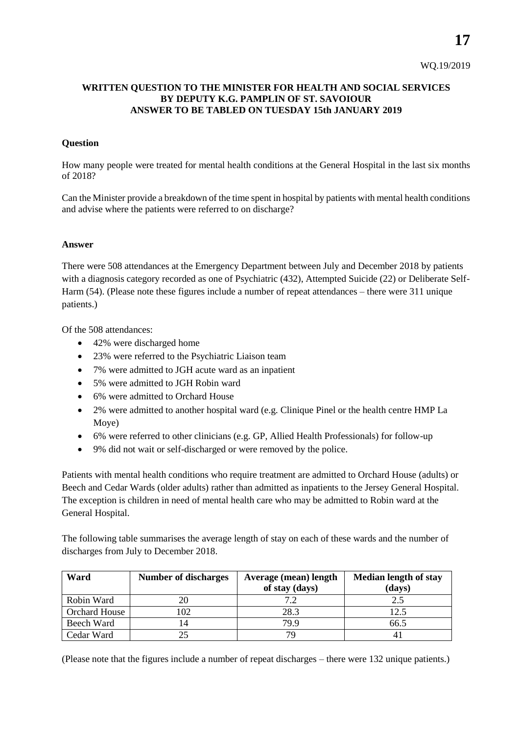**17**

## **WRITTEN QUESTION TO THE MINISTER FOR HEALTH AND SOCIAL SERVICES BY DEPUTY K.G. PAMPLIN OF ST. SAVOIOUR ANSWER TO BE TABLED ON TUESDAY 15th JANUARY 2019**

## **Question**

How many people were treated for mental health conditions at the General Hospital in the last six months of 2018?

Can the Minister provide a breakdown of the time spent in hospital by patients with mental health conditions and advise where the patients were referred to on discharge?

## **Answer**

There were 508 attendances at the Emergency Department between July and December 2018 by patients with a diagnosis category recorded as one of Psychiatric (432), Attempted Suicide (22) or Deliberate Self-Harm (54). (Please note these figures include a number of repeat attendances – there were 311 unique patients.)

Of the 508 attendances:

- 42% were discharged home
- 23% were referred to the Psychiatric Liaison team
- 7% were admitted to JGH acute ward as an inpatient
- 5% were admitted to JGH Robin ward
- 6% were admitted to Orchard House
- 2% were admitted to another hospital ward (e.g. Clinique Pinel or the health centre HMP La Moye)
- 6% were referred to other clinicians (e.g. GP, Allied Health Professionals) for follow-up
- 9% did not wait or self-discharged or were removed by the police.

Patients with mental health conditions who require treatment are admitted to Orchard House (adults) or Beech and Cedar Wards (older adults) rather than admitted as inpatients to the Jersey General Hospital. The exception is children in need of mental health care who may be admitted to Robin ward at the General Hospital.

The following table summarises the average length of stay on each of these wards and the number of discharges from July to December 2018.

| Ward                 | <b>Number of discharges</b> | Average (mean) length<br>of stay (days) | <b>Median length of stay</b><br>(days) |
|----------------------|-----------------------------|-----------------------------------------|----------------------------------------|
| Robin Ward           | 20                          |                                         | 2.5                                    |
| <b>Orchard House</b> | 102                         | 28.3                                    | 12.5                                   |
| Beech Ward           |                             | 79.9                                    | 66.5                                   |
| Cedar Ward           |                             |                                         |                                        |

(Please note that the figures include a number of repeat discharges – there were 132 unique patients.)